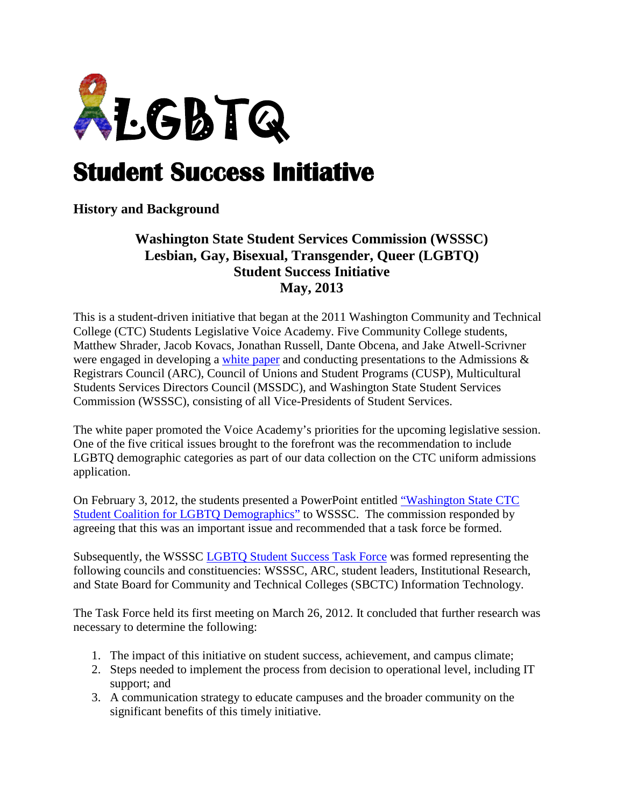

## **Student Success Initiative**

## **History and Background**

## **Washington State Student Services Commission (WSSSC) Lesbian, Gay, Bisexual, Transgender, Queer (LGBTQ) Student Success Initiative May, 2013**

This is a student-driven initiative that began at the 2011 Washington Community and Technical College (CTC) Students Legislative Voice Academy. Five Community College students, Matthew Shrader, Jacob Kovacs, Jonathan Russell, Dante Obcena, and Jake Atwell-Scrivner were engaged in developing a [white paper](http://diversity.highline.edu/docs/whitepaper.pdf) and conducting presentations to the Admissions & Registrars Council (ARC), Council of Unions and Student Programs (CUSP), Multicultural Students Services Directors Council (MSSDC), and Washington State Student Services Commission (WSSSC), consisting of all Vice-Presidents of Student Services.

The white paper promoted the Voice Academy's priorities for the upcoming legislative session. One of the five critical issues brought to the forefront was the recommendation to include LGBTQ demographic categories as part of our data collection on the CTC uniform admissions application.

On February 3, 2012, the students presented a PowerPoint entitled ["Washington State CTC](http://diversity.highline.edu/docs/lgbtqdemographicspowerpoint.pdf)  [Student Coalition for LGBTQ Demographics"](http://diversity.highline.edu/docs/lgbtqdemographicspowerpoint.pdf) to WSSSC. The commission responded by agreeing that this was an important issue and recommended that a task force be formed.

Subsequently, the WSSSC [LGBTQ Student Success Task Force](http://diversity.highline.edu/docs/taskforce.pdf) was formed representing the following councils and constituencies: WSSSC, ARC, student leaders, Institutional Research, and State Board for Community and Technical Colleges (SBCTC) Information Technology.

The Task Force held its first meeting on March 26, 2012. It concluded that further research was necessary to determine the following:

- 1. The impact of this initiative on student success, achievement, and campus climate;
- 2. Steps needed to implement the process from decision to operational level, including IT support; and
- 3. A communication strategy to educate campuses and the broader community on the significant benefits of this timely initiative.